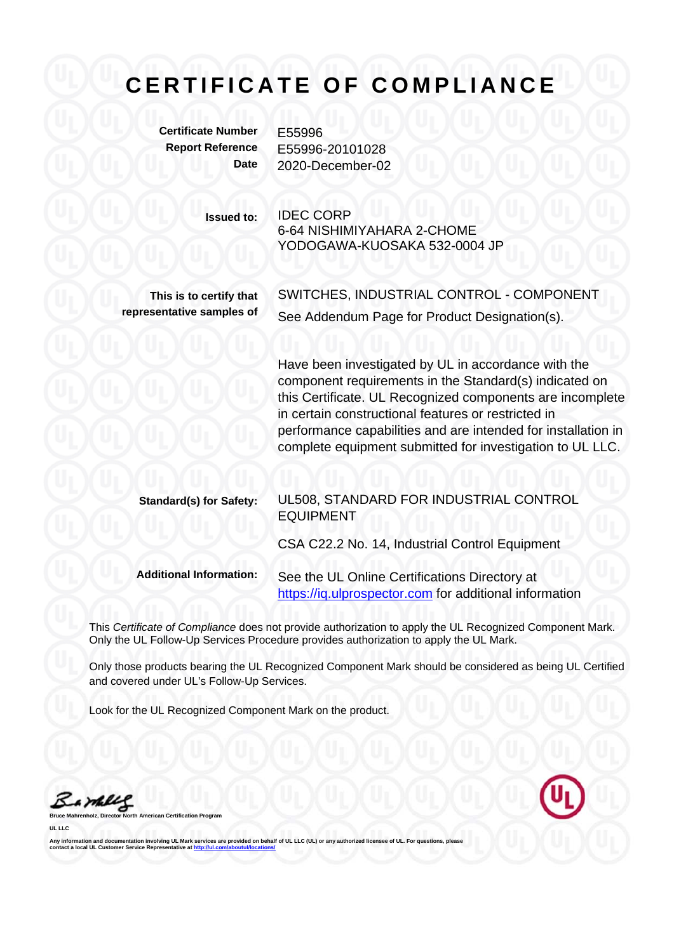## **CERTIFICATE OF COMPLIANCE**

**Certificate Number** E55996

**Report Reference** E55996-20101028 **Date** 2020-December-02

> **Issued to:** IDEC CORP 6-64 NISHIMIYAHARA 2-CHOME YODOGAWA-KUOSAKA 532-0004 JP

**This is to certify that representative samples of** SWITCHES, INDUSTRIAL CONTROL - COMPONENT See Addendum Page for Product Designation(s).

Have been investigated by UL in accordance with the component requirements in the Standard(s) indicated on this Certificate. UL Recognized components are incomplete in certain constructional features or restricted in performance capabilities and are intended for installation in complete equipment submitted for investigation to UL LLC.

| <b>Standard(s) for Safety:</b> | UL508, STANDARD FOR INDUSTRIAL CONTROL<br><b>EQUIPMENT</b>                                              |
|--------------------------------|---------------------------------------------------------------------------------------------------------|
|                                | CSA C22.2 No. 14, Industrial Control Equipment                                                          |
| <b>Additional Information:</b> | See the UL Online Certifications Directory at<br>https://iq.ulprospector.com for additional information |

This *Certificate of Compliance* does not provide authorization to apply the UL Recognized Component Mark. Only the UL Follow-Up Services Procedure provides authorization to apply the UL Mark.

Only those products bearing the UL Recognized Component Mark should be considered as being UL Certified and covered under UL's Follow-Up Services.

Look for the UL Recognized Component Mark on the product.

a mili

**Broard UL LLC** 

Any information and documentation involving UL Mark services are provided on behalf of UL LLC (UL) or any authorized licensee of UL. For questions, please<br>contact a local UL Customer Service Representative at <u>http://ul.co</u>